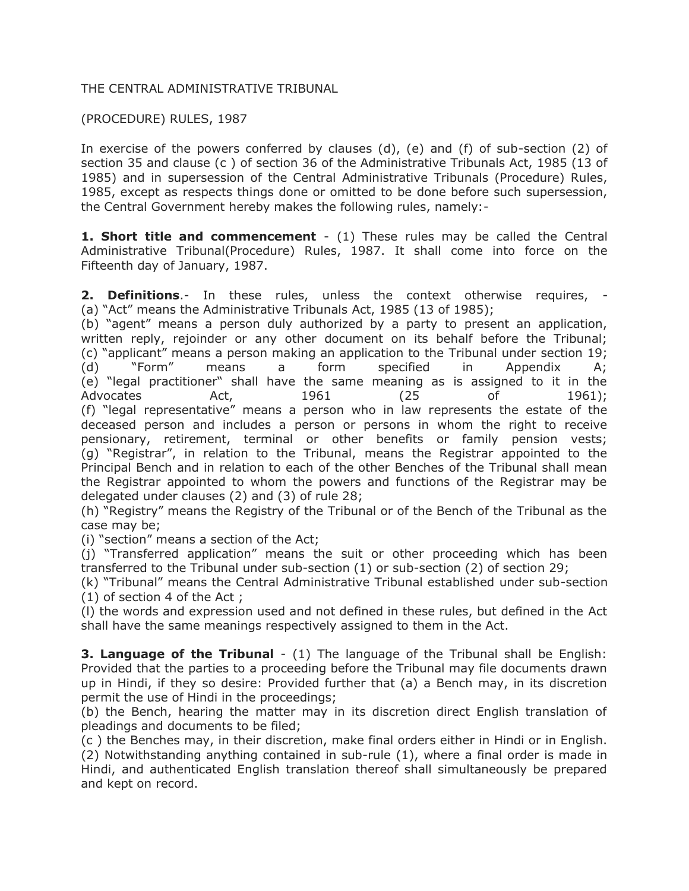### THE CENTRAL ADMINISTRATIVE TRIBUNAL

## (PROCEDURE) RULES, 1987

In exercise of the powers conferred by clauses (d), (e) and (f) of sub-section (2) of section 35 and clause (c ) of section 36 of the Administrative Tribunals Act, 1985 (13 of 1985) and in supersession of the Central Administrative Tribunals (Procedure) Rules, 1985, except as respects things done or omitted to be done before such supersession, the Central Government hereby makes the following rules, namely:-

**1. Short title and commencement** - (1) These rules may be called the Central Administrative Tribunal(Procedure) Rules, 1987. It shall come into force on the Fifteenth day of January, 1987.

**2. Definitions**.- In these rules, unless the context otherwise requires, - (a) "Act" means the Administrative Tribunals Act, 1985 (13 of 1985);

(b) "agent" means a person duly authorized by a party to present an application, written reply, rejoinder or any other document on its behalf before the Tribunal; (c) "applicant" means a person making an application to the Tribunal under section 19; (d) "Form" means a form specified in Appendix A; (e) "legal practitioner" shall have the same meaning as is assigned to it in the Advocates Act, 1961 (25 of 1961); (f) "legal representative" means a person who in law represents the estate of the deceased person and includes a person or persons in whom the right to receive pensionary, retirement, terminal or other benefits or family pension vests; (g) "Registrar", in relation to the Tribunal, means the Registrar appointed to the Principal Bench and in relation to each of the other Benches of the Tribunal shall mean the Registrar appointed to whom the powers and functions of the Registrar may be delegated under clauses (2) and (3) of rule 28;

(h) "Registry" means the Registry of the Tribunal or of the Bench of the Tribunal as the case may be;

(i) "section" means a section of the Act;

(j) "Transferred application" means the suit or other proceeding which has been transferred to the Tribunal under sub-section (1) or sub-section (2) of section 29;

(k) "Tribunal" means the Central Administrative Tribunal established under sub-section (1) of section 4 of the Act ;

(l) the words and expression used and not defined in these rules, but defined in the Act shall have the same meanings respectively assigned to them in the Act.

**3. Language of the Tribunal** - (1) The language of the Tribunal shall be English: Provided that the parties to a proceeding before the Tribunal may file documents drawn up in Hindi, if they so desire: Provided further that (a) a Bench may, in its discretion permit the use of Hindi in the proceedings;

(b) the Bench, hearing the matter may in its discretion direct English translation of pleadings and documents to be filed;

(c ) the Benches may, in their discretion, make final orders either in Hindi or in English. (2) Notwithstanding anything contained in sub-rule (1), where a final order is made in Hindi, and authenticated English translation thereof shall simultaneously be prepared and kept on record.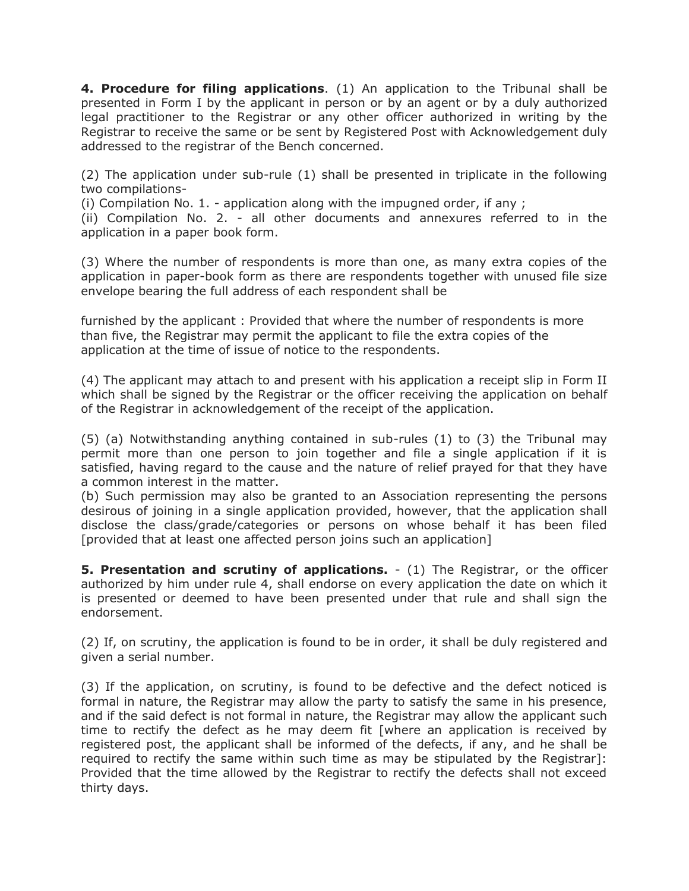**4. Procedure for filing applications**. (1) An application to the Tribunal shall be presented in Form I by the applicant in person or by an agent or by a duly authorized legal practitioner to the Registrar or any other officer authorized in writing by the Registrar to receive the same or be sent by Registered Post with Acknowledgement duly addressed to the registrar of the Bench concerned.

(2) The application under sub-rule (1) shall be presented in triplicate in the following two compilations-

(i) Compilation No. 1. - application along with the impugned order, if any ;

(ii) Compilation No. 2. - all other documents and annexures referred to in the application in a paper book form.

(3) Where the number of respondents is more than one, as many extra copies of the application in paper-book form as there are respondents together with unused file size envelope bearing the full address of each respondent shall be

furnished by the applicant : Provided that where the number of respondents is more than five, the Registrar may permit the applicant to file the extra copies of the application at the time of issue of notice to the respondents.

(4) The applicant may attach to and present with his application a receipt slip in Form II which shall be signed by the Registrar or the officer receiving the application on behalf of the Registrar in acknowledgement of the receipt of the application.

(5) (a) Notwithstanding anything contained in sub-rules (1) to (3) the Tribunal may permit more than one person to join together and file a single application if it is satisfied, having regard to the cause and the nature of relief prayed for that they have a common interest in the matter.

(b) Such permission may also be granted to an Association representing the persons desirous of joining in a single application provided, however, that the application shall disclose the class/grade/categories or persons on whose behalf it has been filed [provided that at least one affected person joins such an application]

**5. Presentation and scrutiny of applications.** - (1) The Registrar, or the officer authorized by him under rule 4, shall endorse on every application the date on which it is presented or deemed to have been presented under that rule and shall sign the endorsement.

(2) If, on scrutiny, the application is found to be in order, it shall be duly registered and given a serial number.

(3) If the application, on scrutiny, is found to be defective and the defect noticed is formal in nature, the Registrar may allow the party to satisfy the same in his presence, and if the said defect is not formal in nature, the Registrar may allow the applicant such time to rectify the defect as he may deem fit [where an application is received by registered post, the applicant shall be informed of the defects, if any, and he shall be required to rectify the same within such time as may be stipulated by the Registrar]: Provided that the time allowed by the Registrar to rectify the defects shall not exceed thirty days.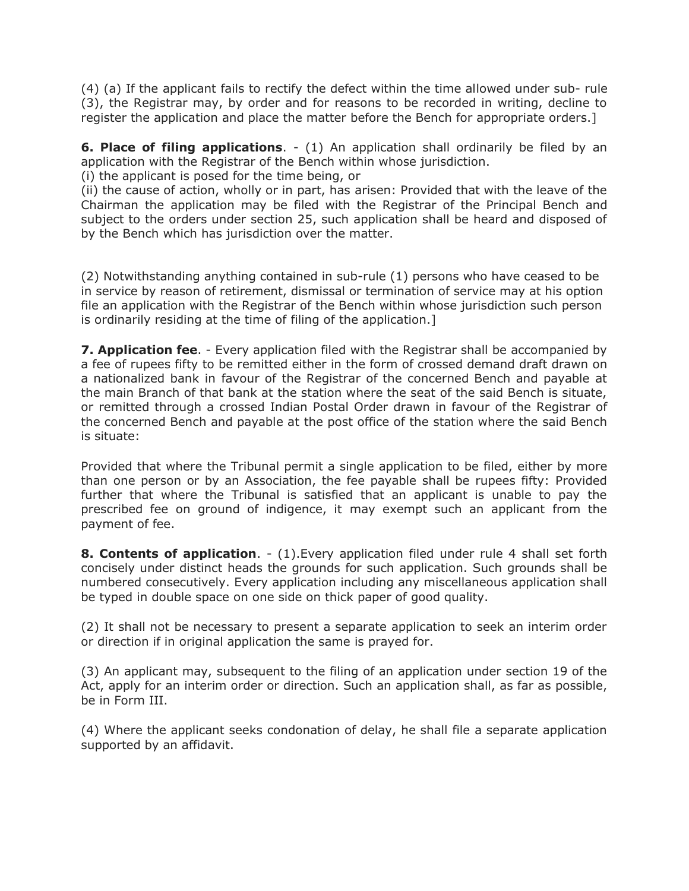(4) (a) If the applicant fails to rectify the defect within the time allowed under sub- rule (3), the Registrar may, by order and for reasons to be recorded in writing, decline to register the application and place the matter before the Bench for appropriate orders.]

**6. Place of filing applications**. - (1) An application shall ordinarily be filed by an application with the Registrar of the Bench within whose jurisdiction.

(i) the applicant is posed for the time being, or

(ii) the cause of action, wholly or in part, has arisen: Provided that with the leave of the Chairman the application may be filed with the Registrar of the Principal Bench and subject to the orders under section 25, such application shall be heard and disposed of by the Bench which has jurisdiction over the matter.

(2) Notwithstanding anything contained in sub-rule (1) persons who have ceased to be in service by reason of retirement, dismissal or termination of service may at his option file an application with the Registrar of the Bench within whose jurisdiction such person is ordinarily residing at the time of filing of the application.]

**7. Application fee**. - Every application filed with the Registrar shall be accompanied by a fee of rupees fifty to be remitted either in the form of crossed demand draft drawn on a nationalized bank in favour of the Registrar of the concerned Bench and payable at the main Branch of that bank at the station where the seat of the said Bench is situate, or remitted through a crossed Indian Postal Order drawn in favour of the Registrar of the concerned Bench and payable at the post office of the station where the said Bench is situate:

Provided that where the Tribunal permit a single application to be filed, either by more than one person or by an Association, the fee payable shall be rupees fifty: Provided further that where the Tribunal is satisfied that an applicant is unable to pay the prescribed fee on ground of indigence, it may exempt such an applicant from the payment of fee.

**8. Contents of application**. - (1).Every application filed under rule 4 shall set forth concisely under distinct heads the grounds for such application. Such grounds shall be numbered consecutively. Every application including any miscellaneous application shall be typed in double space on one side on thick paper of good quality.

(2) It shall not be necessary to present a separate application to seek an interim order or direction if in original application the same is prayed for.

(3) An applicant may, subsequent to the filing of an application under section 19 of the Act, apply for an interim order or direction. Such an application shall, as far as possible, be in Form III.

(4) Where the applicant seeks condonation of delay, he shall file a separate application supported by an affidavit.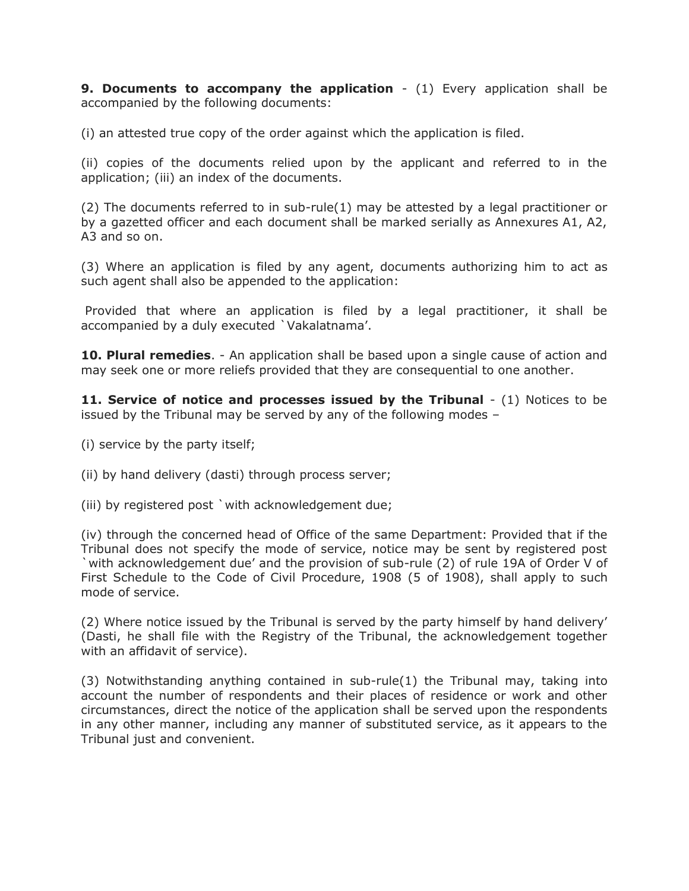**9. Documents to accompany the application** - (1) Every application shall be accompanied by the following documents:

(i) an attested true copy of the order against which the application is filed.

(ii) copies of the documents relied upon by the applicant and referred to in the application; (iii) an index of the documents.

(2) The documents referred to in sub-rule(1) may be attested by a legal practitioner or by a gazetted officer and each document shall be marked serially as Annexures A1, A2, A3 and so on.

(3) Where an application is filed by any agent, documents authorizing him to act as such agent shall also be appended to the application:

Provided that where an application is filed by a legal practitioner, it shall be accompanied by a duly executed `Vakalatnama'.

**10. Plural remedies**. - An application shall be based upon a single cause of action and may seek one or more reliefs provided that they are consequential to one another.

**11. Service of notice and processes issued by the Tribunal** - (1) Notices to be issued by the Tribunal may be served by any of the following modes –

- (i) service by the party itself;
- (ii) by hand delivery (dasti) through process server;
- (iii) by registered post `with acknowledgement due;

(iv) through the concerned head of Office of the same Department: Provided that if the Tribunal does not specify the mode of service, notice may be sent by registered post `with acknowledgement due' and the provision of sub-rule (2) of rule 19A of Order V of First Schedule to the Code of Civil Procedure, 1908 (5 of 1908), shall apply to such mode of service.

(2) Where notice issued by the Tribunal is served by the party himself by hand delivery' (Dasti, he shall file with the Registry of the Tribunal, the acknowledgement together with an affidavit of service).

(3) Notwithstanding anything contained in sub-rule(1) the Tribunal may, taking into account the number of respondents and their places of residence or work and other circumstances, direct the notice of the application shall be served upon the respondents in any other manner, including any manner of substituted service, as it appears to the Tribunal just and convenient.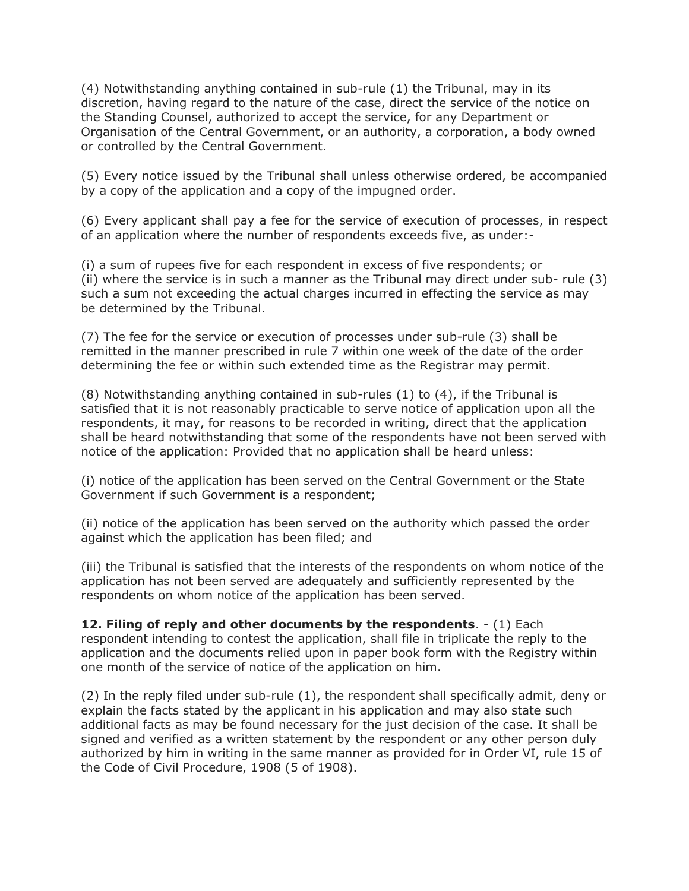(4) Notwithstanding anything contained in sub-rule (1) the Tribunal, may in its discretion, having regard to the nature of the case, direct the service of the notice on the Standing Counsel, authorized to accept the service, for any Department or Organisation of the Central Government, or an authority, a corporation, a body owned or controlled by the Central Government.

(5) Every notice issued by the Tribunal shall unless otherwise ordered, be accompanied by a copy of the application and a copy of the impugned order.

(6) Every applicant shall pay a fee for the service of execution of processes, in respect of an application where the number of respondents exceeds five, as under:-

(i) a sum of rupees five for each respondent in excess of five respondents; or (ii) where the service is in such a manner as the Tribunal may direct under sub- rule (3) such a sum not exceeding the actual charges incurred in effecting the service as may be determined by the Tribunal.

(7) The fee for the service or execution of processes under sub-rule (3) shall be remitted in the manner prescribed in rule 7 within one week of the date of the order determining the fee or within such extended time as the Registrar may permit.

(8) Notwithstanding anything contained in sub-rules (1) to (4), if the Tribunal is satisfied that it is not reasonably practicable to serve notice of application upon all the respondents, it may, for reasons to be recorded in writing, direct that the application shall be heard notwithstanding that some of the respondents have not been served with notice of the application: Provided that no application shall be heard unless:

(i) notice of the application has been served on the Central Government or the State Government if such Government is a respondent;

(ii) notice of the application has been served on the authority which passed the order against which the application has been filed; and

(iii) the Tribunal is satisfied that the interests of the respondents on whom notice of the application has not been served are adequately and sufficiently represented by the respondents on whom notice of the application has been served.

**12. Filing of reply and other documents by the respondents**. - (1) Each respondent intending to contest the application, shall file in triplicate the reply to the application and the documents relied upon in paper book form with the Registry within one month of the service of notice of the application on him.

(2) In the reply filed under sub-rule (1), the respondent shall specifically admit, deny or explain the facts stated by the applicant in his application and may also state such additional facts as may be found necessary for the just decision of the case. It shall be signed and verified as a written statement by the respondent or any other person duly authorized by him in writing in the same manner as provided for in Order VI, rule 15 of the Code of Civil Procedure, 1908 (5 of 1908).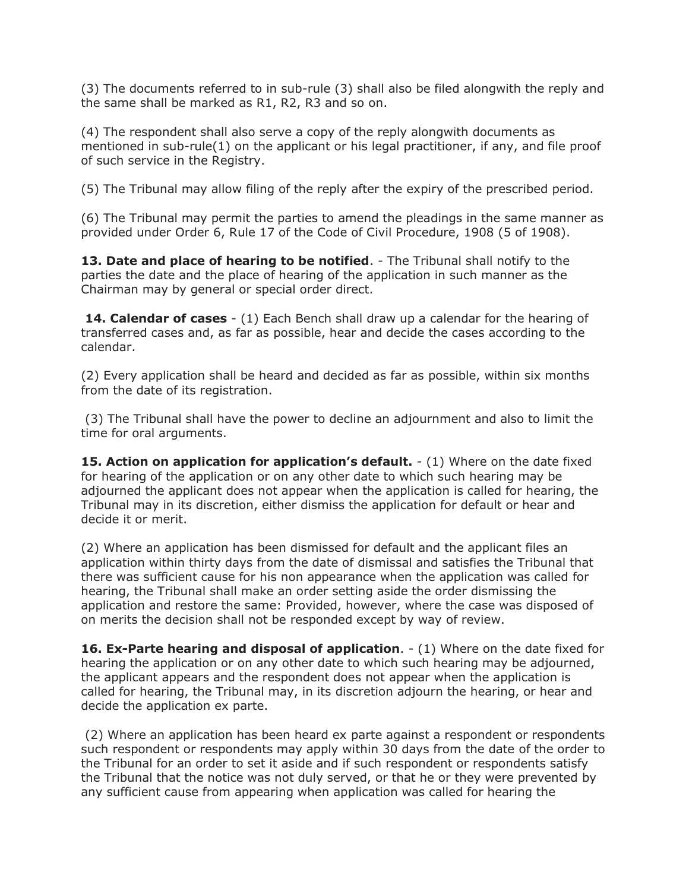(3) The documents referred to in sub-rule (3) shall also be filed alongwith the reply and the same shall be marked as R1, R2, R3 and so on.

(4) The respondent shall also serve a copy of the reply alongwith documents as mentioned in sub-rule(1) on the applicant or his legal practitioner, if any, and file proof of such service in the Registry.

(5) The Tribunal may allow filing of the reply after the expiry of the prescribed period.

(6) The Tribunal may permit the parties to amend the pleadings in the same manner as provided under Order 6, Rule 17 of the Code of Civil Procedure, 1908 (5 of 1908).

**13. Date and place of hearing to be notified**. - The Tribunal shall notify to the parties the date and the place of hearing of the application in such manner as the Chairman may by general or special order direct.

**14. Calendar of cases** - (1) Each Bench shall draw up a calendar for the hearing of transferred cases and, as far as possible, hear and decide the cases according to the calendar.

(2) Every application shall be heard and decided as far as possible, within six months from the date of its registration.

(3) The Tribunal shall have the power to decline an adjournment and also to limit the time for oral arguments.

**15. Action on application for application's default.** - (1) Where on the date fixed for hearing of the application or on any other date to which such hearing may be adjourned the applicant does not appear when the application is called for hearing, the Tribunal may in its discretion, either dismiss the application for default or hear and decide it or merit.

(2) Where an application has been dismissed for default and the applicant files an application within thirty days from the date of dismissal and satisfies the Tribunal that there was sufficient cause for his non appearance when the application was called for hearing, the Tribunal shall make an order setting aside the order dismissing the application and restore the same: Provided, however, where the case was disposed of on merits the decision shall not be responded except by way of review.

**16. Ex-Parte hearing and disposal of application**. - (1) Where on the date fixed for hearing the application or on any other date to which such hearing may be adjourned, the applicant appears and the respondent does not appear when the application is called for hearing, the Tribunal may, in its discretion adjourn the hearing, or hear and decide the application ex parte.

(2) Where an application has been heard ex parte against a respondent or respondents such respondent or respondents may apply within 30 days from the date of the order to the Tribunal for an order to set it aside and if such respondent or respondents satisfy the Tribunal that the notice was not duly served, or that he or they were prevented by any sufficient cause from appearing when application was called for hearing the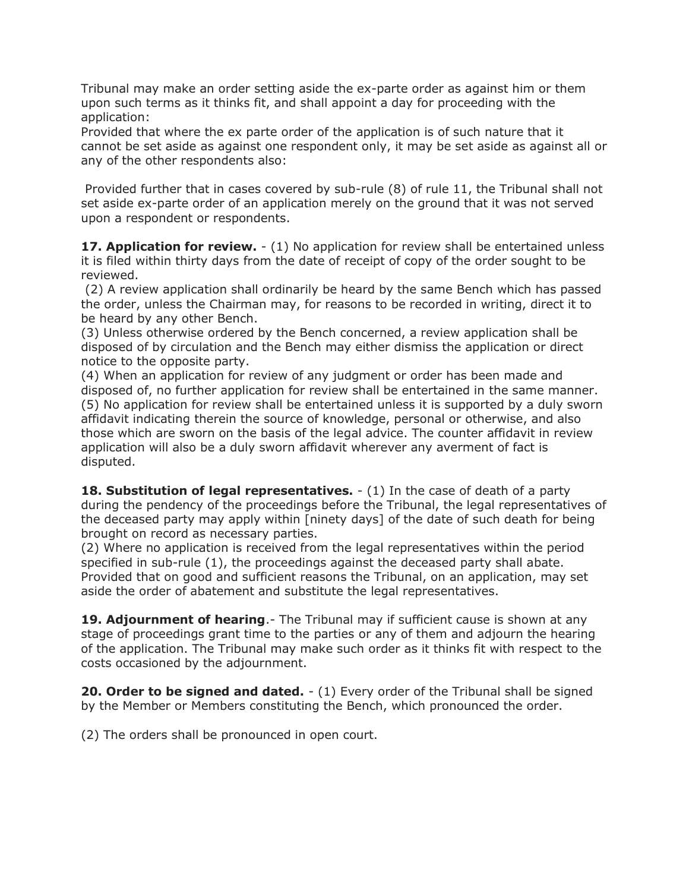Tribunal may make an order setting aside the ex-parte order as against him or them upon such terms as it thinks fit, and shall appoint a day for proceeding with the application:

Provided that where the ex parte order of the application is of such nature that it cannot be set aside as against one respondent only, it may be set aside as against all or any of the other respondents also:

Provided further that in cases covered by sub-rule (8) of rule 11, the Tribunal shall not set aside ex-parte order of an application merely on the ground that it was not served upon a respondent or respondents.

**17. Application for review.**  $- (1)$  No application for review shall be entertained unless it is filed within thirty days from the date of receipt of copy of the order sought to be reviewed.

(2) A review application shall ordinarily be heard by the same Bench which has passed the order, unless the Chairman may, for reasons to be recorded in writing, direct it to be heard by any other Bench.

(3) Unless otherwise ordered by the Bench concerned, a review application shall be disposed of by circulation and the Bench may either dismiss the application or direct notice to the opposite party.

(4) When an application for review of any judgment or order has been made and disposed of, no further application for review shall be entertained in the same manner. (5) No application for review shall be entertained unless it is supported by a duly sworn affidavit indicating therein the source of knowledge, personal or otherwise, and also those which are sworn on the basis of the legal advice. The counter affidavit in review application will also be a duly sworn affidavit wherever any averment of fact is disputed.

**18. Substitution of legal representatives.**  $- (1)$  In the case of death of a party during the pendency of the proceedings before the Tribunal, the legal representatives of the deceased party may apply within [ninety days] of the date of such death for being brought on record as necessary parties.

(2) Where no application is received from the legal representatives within the period specified in sub-rule (1), the proceedings against the deceased party shall abate. Provided that on good and sufficient reasons the Tribunal, on an application, may set aside the order of abatement and substitute the legal representatives.

**19. Adjournment of hearing.**- The Tribunal may if sufficient cause is shown at any stage of proceedings grant time to the parties or any of them and adjourn the hearing of the application. The Tribunal may make such order as it thinks fit with respect to the costs occasioned by the adjournment.

**20. Order to be signed and dated.**  $- (1)$  Every order of the Tribunal shall be signed by the Member or Members constituting the Bench, which pronounced the order.

(2) The orders shall be pronounced in open court.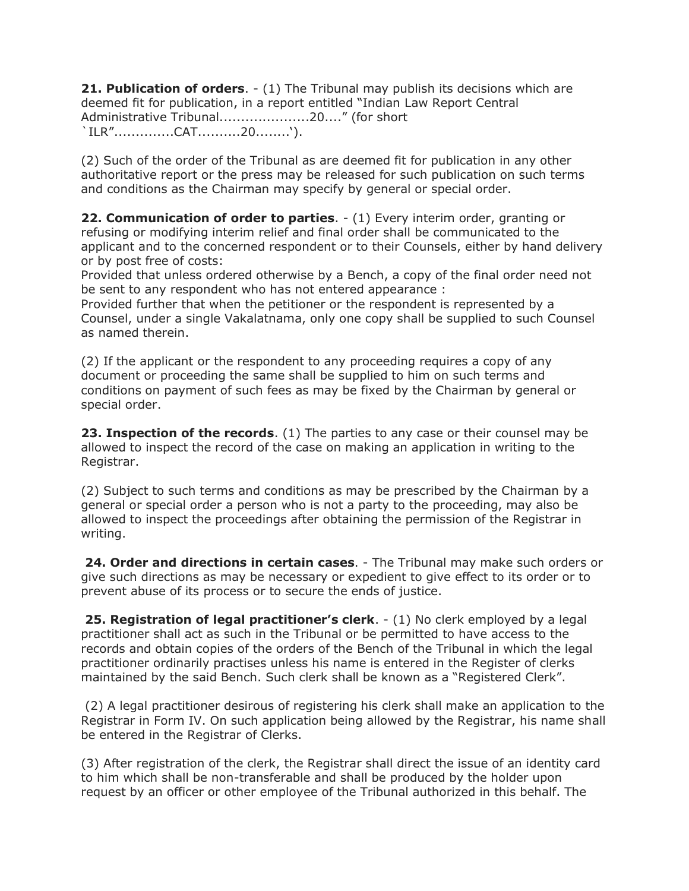**21. Publication of orders**. - (1) The Tribunal may publish its decisions which are deemed fit for publication, in a report entitled "Indian Law Report Central Administrative Tribunal.....................20...." (for short `ILR"..............CAT..........20........').

(2) Such of the order of the Tribunal as are deemed fit for publication in any other authoritative report or the press may be released for such publication on such terms and conditions as the Chairman may specify by general or special order.

**22. Communication of order to parties.**  $-(1)$  Every interim order, granting or refusing or modifying interim relief and final order shall be communicated to the applicant and to the concerned respondent or to their Counsels, either by hand delivery or by post free of costs:

Provided that unless ordered otherwise by a Bench, a copy of the final order need not be sent to any respondent who has not entered appearance :

Provided further that when the petitioner or the respondent is represented by a Counsel, under a single Vakalatnama, only one copy shall be supplied to such Counsel as named therein.

(2) If the applicant or the respondent to any proceeding requires a copy of any document or proceeding the same shall be supplied to him on such terms and conditions on payment of such fees as may be fixed by the Chairman by general or special order.

**23. Inspection of the records**. (1) The parties to any case or their counsel may be allowed to inspect the record of the case on making an application in writing to the Registrar.

(2) Subject to such terms and conditions as may be prescribed by the Chairman by a general or special order a person who is not a party to the proceeding, may also be allowed to inspect the proceedings after obtaining the permission of the Registrar in writing.

**24. Order and directions in certain cases**. - The Tribunal may make such orders or give such directions as may be necessary or expedient to give effect to its order or to prevent abuse of its process or to secure the ends of justice.

**25. Registration of legal practitioner's clerk**. - (1) No clerk employed by a legal practitioner shall act as such in the Tribunal or be permitted to have access to the records and obtain copies of the orders of the Bench of the Tribunal in which the legal practitioner ordinarily practises unless his name is entered in the Register of clerks maintained by the said Bench. Such clerk shall be known as a "Registered Clerk".

(2) A legal practitioner desirous of registering his clerk shall make an application to the Registrar in Form IV. On such application being allowed by the Registrar, his name shall be entered in the Registrar of Clerks.

(3) After registration of the clerk, the Registrar shall direct the issue of an identity card to him which shall be non-transferable and shall be produced by the holder upon request by an officer or other employee of the Tribunal authorized in this behalf. The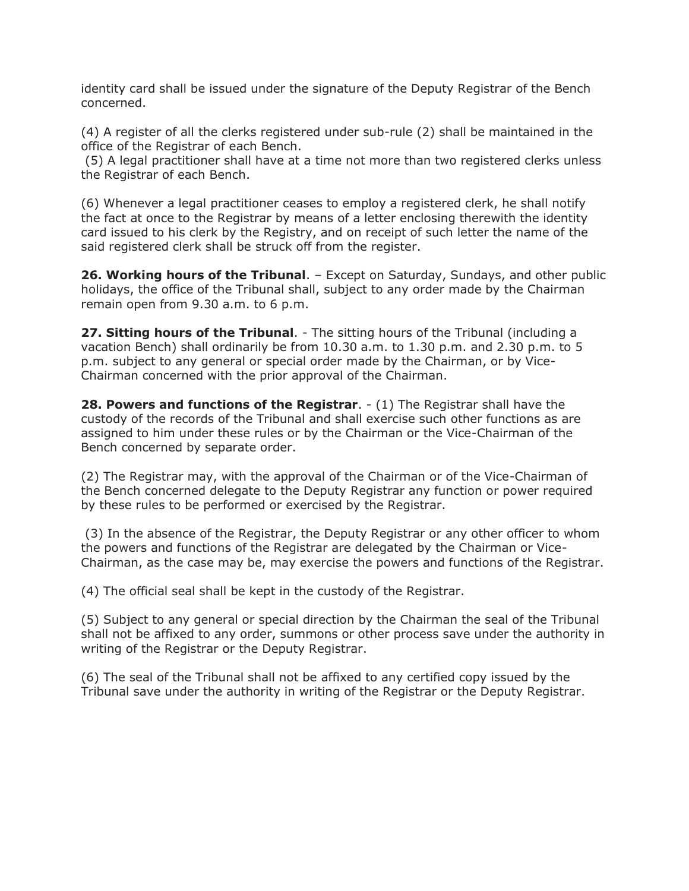identity card shall be issued under the signature of the Deputy Registrar of the Bench concerned.

(4) A register of all the clerks registered under sub-rule (2) shall be maintained in the office of the Registrar of each Bench.

(5) A legal practitioner shall have at a time not more than two registered clerks unless the Registrar of each Bench.

(6) Whenever a legal practitioner ceases to employ a registered clerk, he shall notify the fact at once to the Registrar by means of a letter enclosing therewith the identity card issued to his clerk by the Registry, and on receipt of such letter the name of the said registered clerk shall be struck off from the register.

**26. Working hours of the Tribunal**. – Except on Saturday, Sundays, and other public holidays, the office of the Tribunal shall, subject to any order made by the Chairman remain open from 9.30 a.m. to 6 p.m.

**27. Sitting hours of the Tribunal**. - The sitting hours of the Tribunal (including a vacation Bench) shall ordinarily be from 10.30 a.m. to 1.30 p.m. and 2.30 p.m. to 5 p.m. subject to any general or special order made by the Chairman, or by Vice-Chairman concerned with the prior approval of the Chairman.

**28. Powers and functions of the Registrar.** - (1) The Registrar shall have the custody of the records of the Tribunal and shall exercise such other functions as are assigned to him under these rules or by the Chairman or the Vice-Chairman of the Bench concerned by separate order.

(2) The Registrar may, with the approval of the Chairman or of the Vice-Chairman of the Bench concerned delegate to the Deputy Registrar any function or power required by these rules to be performed or exercised by the Registrar.

(3) In the absence of the Registrar, the Deputy Registrar or any other officer to whom the powers and functions of the Registrar are delegated by the Chairman or Vice-Chairman, as the case may be, may exercise the powers and functions of the Registrar.

(4) The official seal shall be kept in the custody of the Registrar.

(5) Subject to any general or special direction by the Chairman the seal of the Tribunal shall not be affixed to any order, summons or other process save under the authority in writing of the Registrar or the Deputy Registrar.

(6) The seal of the Tribunal shall not be affixed to any certified copy issued by the Tribunal save under the authority in writing of the Registrar or the Deputy Registrar.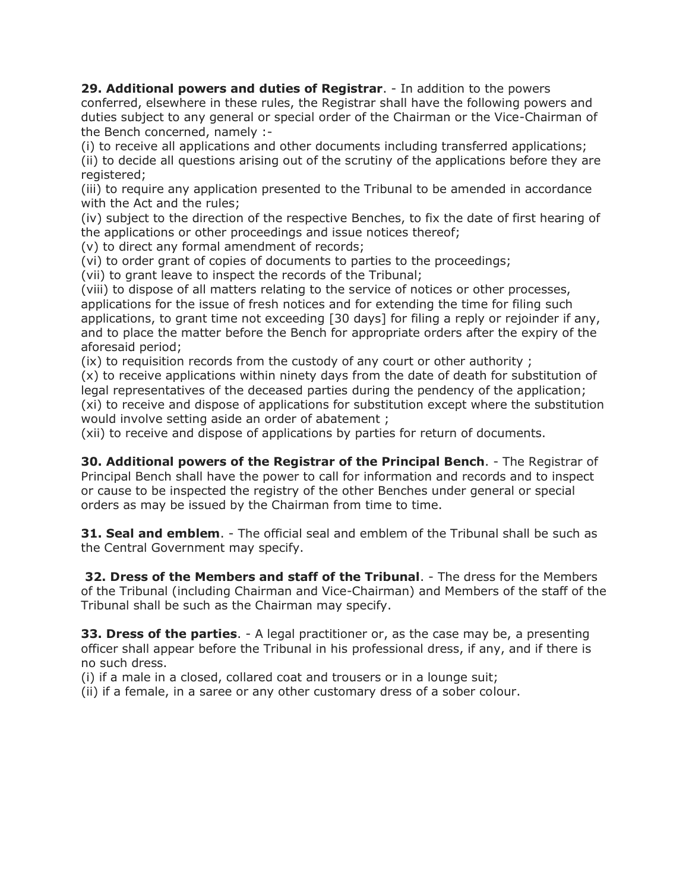**29. Additional powers and duties of Registrar**. - In addition to the powers conferred, elsewhere in these rules, the Registrar shall have the following powers and duties subject to any general or special order of the Chairman or the Vice-Chairman of the Bench concerned, namely :-

(i) to receive all applications and other documents including transferred applications; (ii) to decide all questions arising out of the scrutiny of the applications before they are registered;

(iii) to require any application presented to the Tribunal to be amended in accordance with the Act and the rules;

(iv) subject to the direction of the respective Benches, to fix the date of first hearing of the applications or other proceedings and issue notices thereof;

(v) to direct any formal amendment of records;

(vi) to order grant of copies of documents to parties to the proceedings;

(vii) to grant leave to inspect the records of the Tribunal;

(viii) to dispose of all matters relating to the service of notices or other processes, applications for the issue of fresh notices and for extending the time for filing such applications, to grant time not exceeding [30 days] for filing a reply or rejoinder if any, and to place the matter before the Bench for appropriate orders after the expiry of the aforesaid period;

(ix) to requisition records from the custody of any court or other authority ;

(x) to receive applications within ninety days from the date of death for substitution of legal representatives of the deceased parties during the pendency of the application; (xi) to receive and dispose of applications for substitution except where the substitution would involve setting aside an order of abatement ;

(xii) to receive and dispose of applications by parties for return of documents.

**30. Additional powers of the Registrar of the Principal Bench**. - The Registrar of Principal Bench shall have the power to call for information and records and to inspect or cause to be inspected the registry of the other Benches under general or special orders as may be issued by the Chairman from time to time.

**31. Seal and emblem.** - The official seal and emblem of the Tribunal shall be such as the Central Government may specify.

**32. Dress of the Members and staff of the Tribunal**. - The dress for the Members of the Tribunal (including Chairman and Vice-Chairman) and Members of the staff of the Tribunal shall be such as the Chairman may specify.

**33. Dress of the parties.** - A legal practitioner or, as the case may be, a presenting officer shall appear before the Tribunal in his professional dress, if any, and if there is no such dress.

(i) if a male in a closed, collared coat and trousers or in a lounge suit;

(ii) if a female, in a saree or any other customary dress of a sober colour.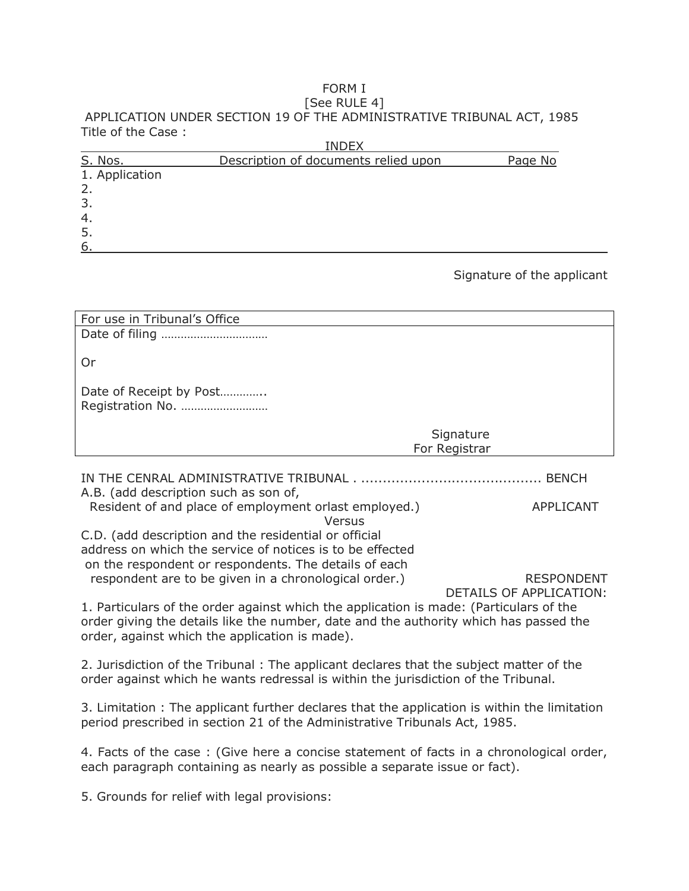# FORM I

#### [See RULE 4] APPLICATION UNDER SECTION 19 OF THE ADMINISTRATIVE TRIBUNAL ACT, 1985 Title of the Case :  $\mathbf{I}$

|                | INDEX                                |         |
|----------------|--------------------------------------|---------|
| S. Nos.        | Description of documents relied upon | Page No |
| 1. Application |                                      |         |
| 2.             |                                      |         |
| $\mathcal{B}$  |                                      |         |
| 4.             |                                      |         |
| 5.             |                                      |         |
| 6              |                                      |         |

#### Signature of the applicant

| For use in Tribunal's Office                                                           |                                              |  |
|----------------------------------------------------------------------------------------|----------------------------------------------|--|
|                                                                                        |                                              |  |
|                                                                                        |                                              |  |
| Or                                                                                     |                                              |  |
|                                                                                        |                                              |  |
| Date of Receipt by Post                                                                |                                              |  |
| Registration No.                                                                       |                                              |  |
|                                                                                        |                                              |  |
|                                                                                        | Signature                                    |  |
|                                                                                        | For Registrar                                |  |
|                                                                                        |                                              |  |
|                                                                                        |                                              |  |
| A.B. (add description such as son of,                                                  |                                              |  |
| Resident of and place of employment orlast employed.)                                  | APPLICANT                                    |  |
| Versus                                                                                 |                                              |  |
| C.D. (add description and the residential or official                                  |                                              |  |
| address on which the service of notices is to be effected                              |                                              |  |
| on the respondent or respondents. The details of each                                  |                                              |  |
| respondent are to be given in a chronological order.)                                  | <b>RESPONDENT</b><br>DETAILS OF APPLICATION: |  |
| 1. Particulars of the order against which the application is made: (Particulars of the |                                              |  |
| order giving the details like the number, date and the authority which has passed the  |                                              |  |
| order, against which the application is made).                                         |                                              |  |
|                                                                                        |                                              |  |
| 2. Jurisdiction of the Tribunal: The applicant declares that the subject matter of the |                                              |  |
|                                                                                        |                                              |  |

order against which he wants redressal is within the jurisdiction of the Tribunal.

3. Limitation : The applicant further declares that the application is within the limitation period prescribed in section 21 of the Administrative Tribunals Act, 1985.

4. Facts of the case : (Give here a concise statement of facts in a chronological order, each paragraph containing as nearly as possible a separate issue or fact).

5. Grounds for relief with legal provisions: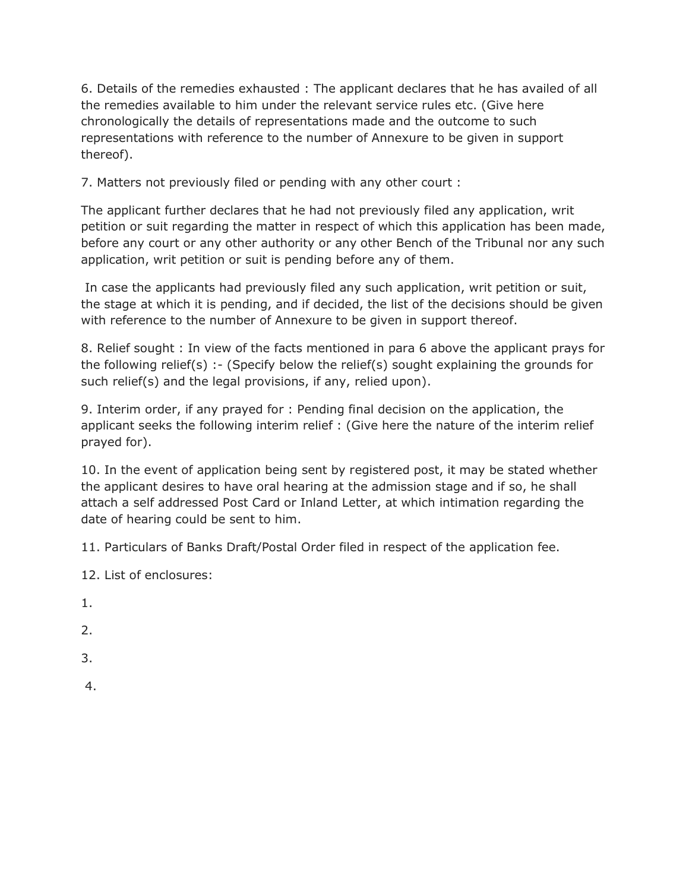6. Details of the remedies exhausted : The applicant declares that he has availed of all the remedies available to him under the relevant service rules etc. (Give here chronologically the details of representations made and the outcome to such representations with reference to the number of Annexure to be given in support thereof).

7. Matters not previously filed or pending with any other court :

The applicant further declares that he had not previously filed any application, writ petition or suit regarding the matter in respect of which this application has been made, before any court or any other authority or any other Bench of the Tribunal nor any such application, writ petition or suit is pending before any of them.

In case the applicants had previously filed any such application, writ petition or suit, the stage at which it is pending, and if decided, the list of the decisions should be given with reference to the number of Annexure to be given in support thereof.

8. Relief sought : In view of the facts mentioned in para 6 above the applicant prays for the following relief(s) :- (Specify below the relief(s) sought explaining the grounds for such relief(s) and the legal provisions, if any, relied upon).

9. Interim order, if any prayed for : Pending final decision on the application, the applicant seeks the following interim relief : (Give here the nature of the interim relief prayed for).

10. In the event of application being sent by registered post, it may be stated whether the applicant desires to have oral hearing at the admission stage and if so, he shall attach a self addressed Post Card or Inland Letter, at which intimation regarding the date of hearing could be sent to him.

11. Particulars of Banks Draft/Postal Order filed in respect of the application fee.

12. List of enclosures:

1.

2.

- 3.
- 4.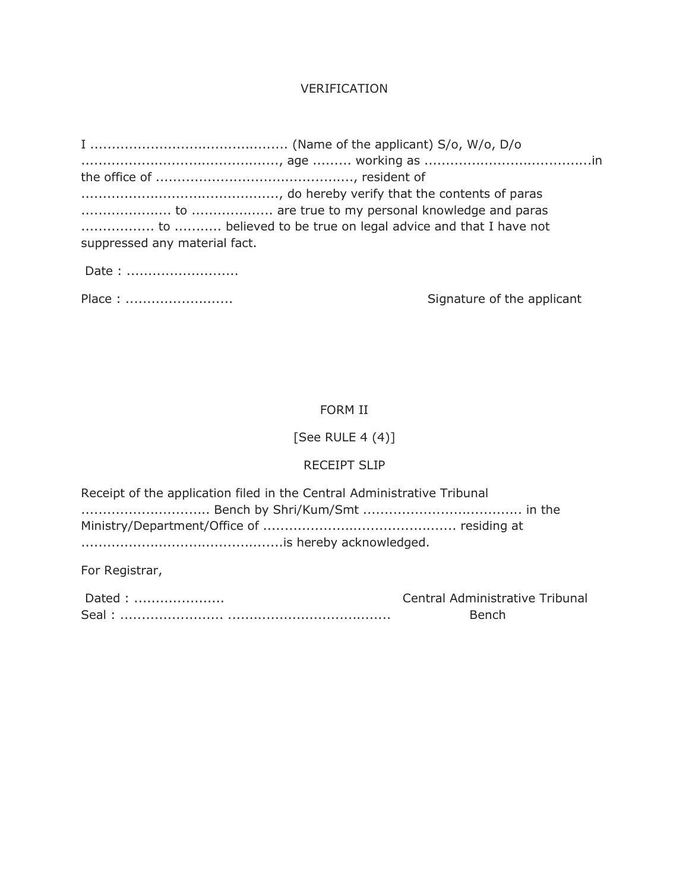## VERIFICATION

| to  believed to be true on legal advice and that I have not |                            |
|-------------------------------------------------------------|----------------------------|
| suppressed any material fact.                               |                            |
| Date:                                                       |                            |
| Place:                                                      | Signature of the applicant |

# FORM II

# [See RULE 4 (4)]

### RECEIPT SLIP

| Receipt of the application filed in the Central Administrative Tribunal |  |  |
|-------------------------------------------------------------------------|--|--|
|                                                                         |  |  |
|                                                                         |  |  |
|                                                                         |  |  |

For Registrar,

| Dated | Central Administrative Tribunal |
|-------|---------------------------------|
|       | Bench                           |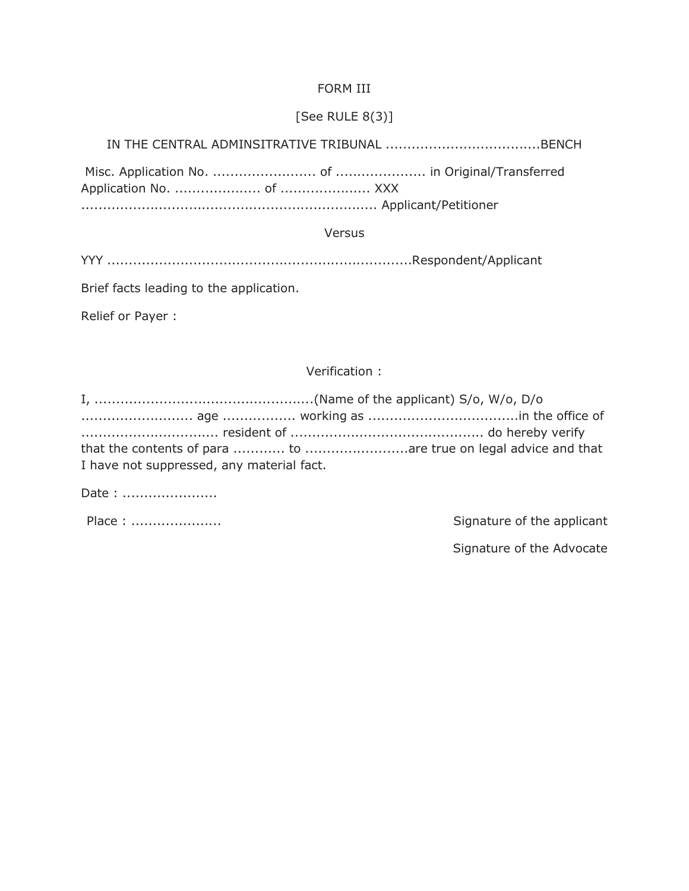### FORM III

# [See RULE 8(3)]

IN THE CENTRAL ADMINSITRATIVE TRIBUNAL ....................................BENCH

Misc. Application No. ........................ of ..................... in Original/Transferred Application No. .................... of ..................... XXX ..................................................................... Applicant/Petitioner

Versus

YYY .......................................................................Respondent/Applicant

Brief facts leading to the application.

Relief or Payer :

Verification :

| I have not suppressed, any material fact. |  |
|-------------------------------------------|--|

Date : ......................

Place : ..................... Signature of the applicant

Signature of the Advocate